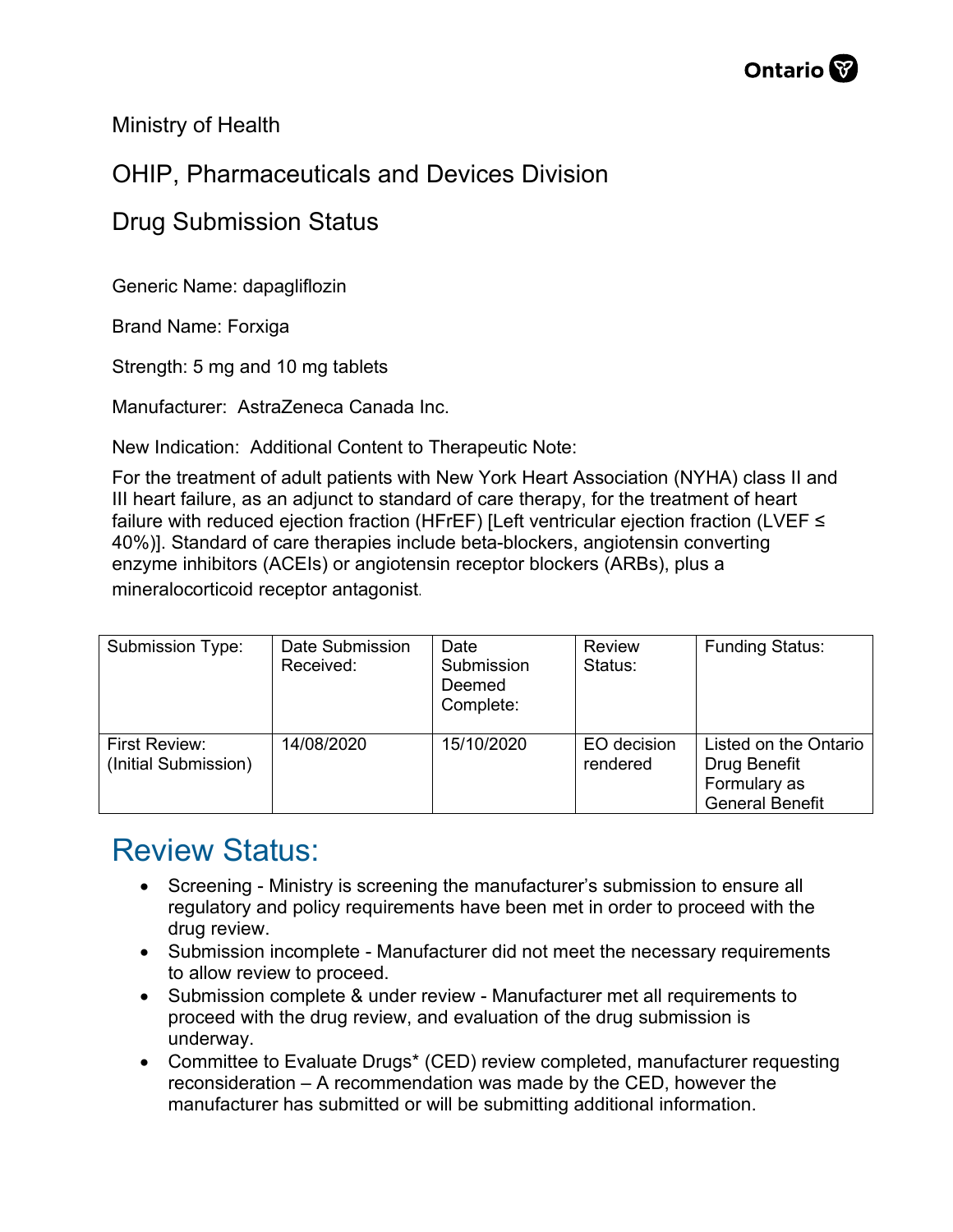Ministry of Health

## OHIP, Pharmaceuticals and Devices Division

## Drug Submission Status

Generic Name: dapagliflozin

Brand Name: Forxiga

Strength: 5 mg and 10 mg tablets

Manufacturer: AstraZeneca Canada Inc.

New Indication: Additional Content to Therapeutic Note:

For the treatment of adult patients with New York Heart Association (NYHA) class II and III heart failure, as an adjunct to standard of care therapy, for the treatment of heart failure with reduced ejection fraction (HFrEF) [Left ventricular ejection fraction (LVEF ≤ 40%)]. Standard of care therapies include beta-blockers, angiotensin converting enzyme inhibitors (ACEIs) or angiotensin receptor blockers (ARBs), plus a mineralocorticoid receptor antagonist.

| Submission Type:                             | Date Submission<br>Received: | Date<br>Submission<br>Deemed<br>Complete: | <b>Review</b><br>Status: | <b>Funding Status:</b>                                                          |
|----------------------------------------------|------------------------------|-------------------------------------------|--------------------------|---------------------------------------------------------------------------------|
| <b>First Review:</b><br>(Initial Submission) | 14/08/2020                   | 15/10/2020                                | EO decision<br>rendered  | Listed on the Ontario<br>Drug Benefit<br>Formulary as<br><b>General Benefit</b> |

## Review Status:

- Screening Ministry is screening the manufacturer's submission to ensure all regulatory and policy requirements have been met in order to proceed with the drug review.
- Submission incomplete Manufacturer did not meet the necessary requirements to allow review to proceed.
- Submission complete & under review Manufacturer met all requirements to proceed with the drug review, and evaluation of the drug submission is underway.
- Committee to Evaluate Drugs\* (CED) review completed, manufacturer requesting reconsideration – A recommendation was made by the CED, however the manufacturer has submitted or will be submitting additional information.